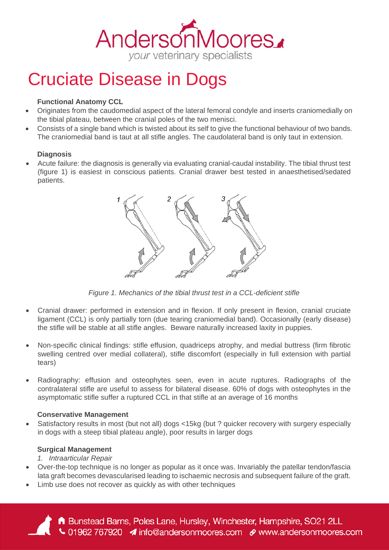# AndersonMoores. your veterinary specialists

# Cruciate Disease in Dogs

## **Functional Anatomy CCL**

- Originates from the caudomedial aspect of the lateral femoral condyle and inserts craniomedially on the tibial plateau, between the cranial poles of the two menisci.
- Consists of a single band which is twisted about its self to give the functional behaviour of two bands. The craniomedial band is taut at all stifle angles. The caudolateral band is only taut in extension.

#### **Diagnosis**

• Acute failure: the diagnosis is generally via evaluating cranial-caudal instability. The tibial thrust test (figure 1) is easiest in conscious patients. Cranial drawer best tested in anaesthetised/sedated patients.



*Figure 1. Mechanics of the tibial thrust test in a CCL-deficient stifle* 

- Cranial drawer: performed in extension and in flexion. If only present in flexion, cranial cruciate ligament (CCL) is only partially torn (due tearing craniomedial band). Occasionally (early disease) the stifle will be stable at all stifle angles. Beware naturally increased laxity in puppies.
- Non-specific clinical findings: stifle effusion, quadriceps atrophy, and medial buttress (firm fibrotic swelling centred over medial collateral), stifle discomfort (especially in full extension with partial tears)
- Radiography: effusion and osteophytes seen, even in acute ruptures. Radiographs of the contralateral stifle are useful to assess for bilateral disease. 60% of dogs with osteophytes in the asymptomatic stifle suffer a ruptured CCL in that stifle at an average of 16 months

#### **Conservative Management**

• Satisfactory results in most (but not all) dogs <15kg (but ? quicker recovery with surgery especially in dogs with a steep tibial plateau angle), poor results in larger dogs

#### **Surgical Management**

*1. Intraarticular Repair* 

- Over-the-top technique is no longer as popular as it once was. Invariably the patellar tendon/fascia lata graft becomes devascularised leading to ischaemic necrosis and subsequent failure of the graft.
- Limb use does not recover as quickly as with other techniques

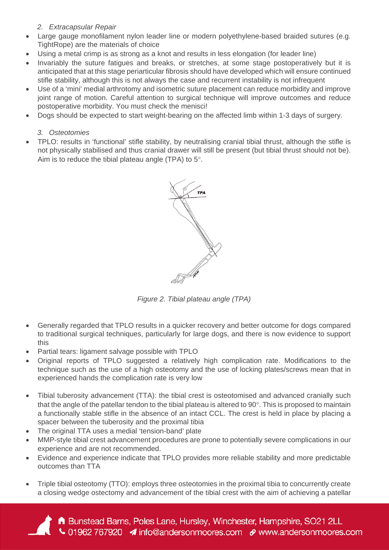#### *2. Extracapsular Repair*

- Large gauge monofilament nylon leader line or modern polyethylene-based braided sutures (e.g. TightRope) are the materials of choice
- Using a metal crimp is as strong as a knot and results in less elongation (for leader line)
- Invariably the suture fatigues and breaks, or stretches, at some stage postoperatively but it is anticipated that at this stage periarticular fibrosis should have developed which will ensure continued stifle stability, although this is not always the case and recurrent instability is not infrequent
- Use of a 'mini' medial arthrotomy and isometric suture placement can reduce morbidity and improve joint range of motion. Careful attention to surgical technique will improve outcomes and reduce postoperative morbidity. You must check the menisci!
- Dogs should be expected to start weight-bearing on the affected limb within 1-3 days of surgery.

#### *3. Osteotomies*

• TPLO: results in 'functional' stifle stability, by neutralising cranial tibial thrust, although the stifle is not physically stabilised and thus cranial drawer will still be present (but tibial thrust should not be). Aim is to reduce the tibial plateau angle (TPA) to 5°.



*Figure 2. Tibial plateau angle (TPA)*

- Generally regarded that TPLO results in a quicker recovery and better outcome for dogs compared to traditional surgical techniques, particularly for large dogs, and there is now evidence to support this
- Partial tears: ligament salvage possible with TPLO
- Original reports of TPLO suggested a relatively high complication rate. Modifications to the technique such as the use of a high osteotomy and the use of locking plates/screws mean that in experienced hands the complication rate is very low
- Tibial tuberosity advancement (TTA): the tibial crest is osteotomised and advanced cranially such that the angle of the patellar tendon to the tibial plateau is altered to 90°. This is proposed to maintain a functionally stable stifle in the absence of an intact CCL. The crest is held in place by placing a spacer between the tuberosity and the proximal tibia
- The original TTA uses a medial 'tension-band' plate
- MMP-style tibial crest advancement procedures are prone to potentially severe complications in our experience and are not recommended.
- Evidence and experience indicate that TPLO provides more reliable stability and more predictable outcomes than TTA
- Triple tibial osteotomy (TTO): employs three osteotomies in the proximal tibia to concurrently create a closing wedge ostectomy and advancement of the tibial crest with the aim of achieving a patellar

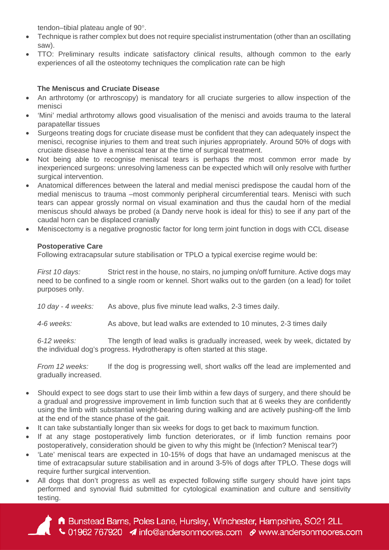tendon–tibial plateau angle of 90°.

- Technique is rather complex but does not require specialist instrumentation (other than an oscillating saw).
- TTO: Preliminary results indicate satisfactory clinical results, although common to the early experiences of all the osteotomy techniques the complication rate can be high

#### **The Meniscus and Cruciate Disease**

- An arthrotomy (or arthroscopy) is mandatory for all cruciate surgeries to allow inspection of the menisci
- 'Mini' medial arthrotomy allows good visualisation of the menisci and avoids trauma to the lateral parapatellar tissues
- Surgeons treating dogs for cruciate disease must be confident that they can adequately inspect the menisci, recognise injuries to them and treat such injuries appropriately. Around 50% of dogs with cruciate disease have a meniscal tear at the time of surgical treatment.
- Not being able to recognise meniscal tears is perhaps the most common error made by inexperienced surgeons: unresolving lameness can be expected which will only resolve with further surgical intervention.
- Anatomical differences between the lateral and medial menisci predispose the caudal horn of the medial meniscus to trauma –most commonly peripheral circumferential tears. Menisci with such tears can appear grossly normal on visual examination and thus the caudal horn of the medial meniscus should always be probed (a Dandy nerve hook is ideal for this) to see if any part of the caudal horn can be displaced cranially
- Meniscectomy is a negative prognostic factor for long term joint function in dogs with CCL disease

## **Postoperative Care**

Following extracapsular suture stabilisation or TPLO a typical exercise regime would be:

*First 10 days:* Strict rest in the house, no stairs, no jumping on/off furniture. Active dogs may need to be confined to a single room or kennel. Short walks out to the garden (on a lead) for toilet purposes only.

*10 day - 4 weeks:* As above, plus five minute lead walks, 2-3 times daily.

*4-6 weeks:* As above, but lead walks are extended to 10 minutes, 2-3 times daily

*6-12 weeks:* The length of lead walks is gradually increased, week by week, dictated by the individual dog's progress. Hydrotherapy is often started at this stage.

*From 12 weeks:* If the dog is progressing well, short walks off the lead are implemented and gradually increased.

- Should expect to see dogs start to use their limb within a few days of surgery, and there should be a gradual and progressive improvement in limb function such that at 6 weeks they are confidently using the limb with substantial weight-bearing during walking and are actively pushing-off the limb at the end of the stance phase of the gait.
- It can take substantially longer than six weeks for dogs to get back to maximum function.
- If at any stage postoperatively limb function deteriorates, or if limb function remains poor postoperatively, consideration should be given to why this might be (Infection? Meniscal tear?)
- 'Late' meniscal tears are expected in 10-15% of dogs that have an undamaged meniscus at the time of extracapsular suture stabilisation and in around 3-5% of dogs after TPLO. These dogs will require further surgical intervention.
- All dogs that don't progress as well as expected following stifle surgery should have joint taps performed and synovial fluid submitted for cytological examination and culture and sensitivity testing.